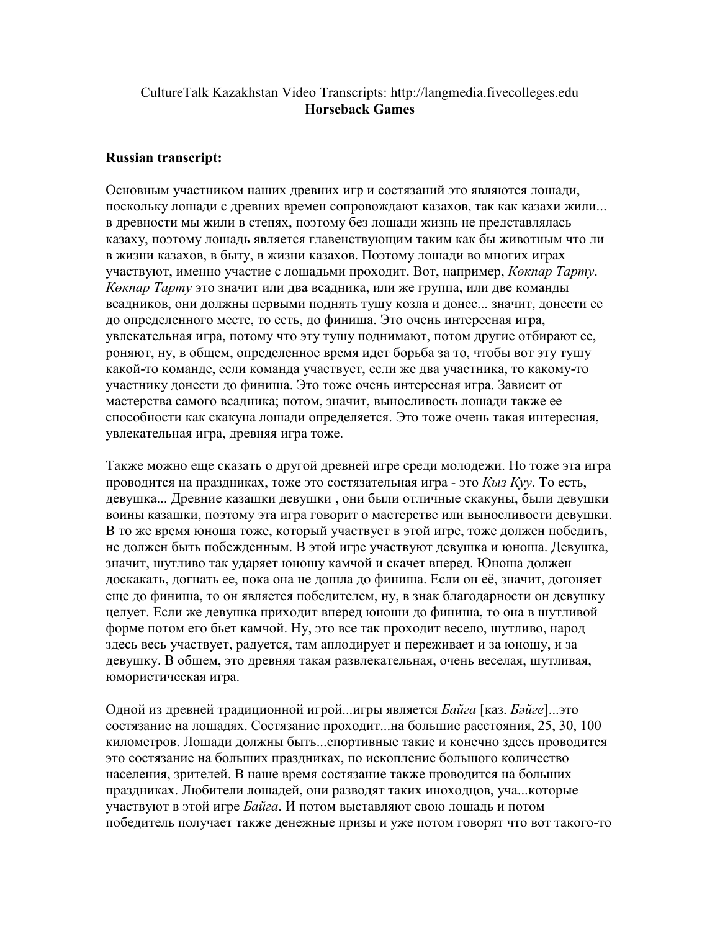## CultureTalk Kazakhstan Video Transcripts: http://langmedia.fivecolleges.edu Horseback Games

## Russian transcript:

Основным участником наших древних игр и состязаний это являются лошади, поскольку лошади с древних времен сопровождают казахов, так как казахи жили... в древности мы жили в степях, поэтому без лошади жизнь не представлялась казаху, поэтому лошадь является главенствующим таким как бы животным что ли в жизни казахов, в быту, в жизни казахов. Поэтому лошади во многих играх участвуют, именно участие с лошадьми проходит. Вот, например, Кокпар Тарту. К*өкпар Тарту* это значит или два всадника, или же группа, или две команды всадников, они должны первыми поднять тушу козла и донес... значит, донести ее до определенного месте, то есть, до финиша. Это очень интересная игра, увлекательная игра, потому что эту тушу поднимают, потом другие отбирают ее, роняют, ну, в общем, определенное время идет борьба за то, чтобы вот эту тушу какой-то команде, если команда участвует, если же два участника, то какому-то участнику донести до финиша. Это тоже очень интересная игра. Зависит от мастерства самого всадника; потом, значит, выносливость лошади также ее способности как скакуна лошади определяется. Это тоже очень такая интересная, увлекательная игра, древняя игра тоже.

Также можно еще сказать о другой древней игре среди молодежи. Но тоже эта игра проводится на праздниках, тоже это состязательная игра - это  $K_{b13} K_{V}$ . То есть, девушка... Древние казашки девушки , они были отличные скакуны, были девушки воины казашки, поэтому эта игра говорит о мастерстве или выносливости девушки. В то же время юноша тоже, который участвует в этой игре, тоже должен победить, не должен быть побежденным. В этой игре участвуют девушка и юноша. Девушка, значит, шутливо так ударяет юношу камчой и скачет вперед. Юноша должен доскакать, догнать ее, пока она не дошла до финиша. Если он её, значит, догоняет еще до финиша, то он является победителем, ну, в знак благодарности он девушку целует. Если же девушка приходит вперед юноши до финиша, то она в шутливой форме потом его бьет камчой. Ну, это все так проходит весело, шутливо, народ здесь весь участвует, радуется, там аплодирует и переживает и за юношу, и за девушку. В общем, это древняя такая развлекательная, очень веселая, шутливая, юмористическая игра.

Одной из древней традиционной игрой...игры является *Байга* [каз. *Бәйге*]...это состязание на лошадях. Состязание проходит...на большие расстояния, 25, 30, 100 километров. Лошади должны быть...спортивные такие и конечно здесь проводится это состязание на больших праздниках, по ископление большого количество населения, зрителей. В наше время состязание также проводится на больших праздниках. Любители лошадей, они разводят таких иноходцов, уча...которые участвуют в этой игре Байга. И потом выставляют свою лошадь и потом победитель получает также денежные призы и уже потом говорят что вот такого-то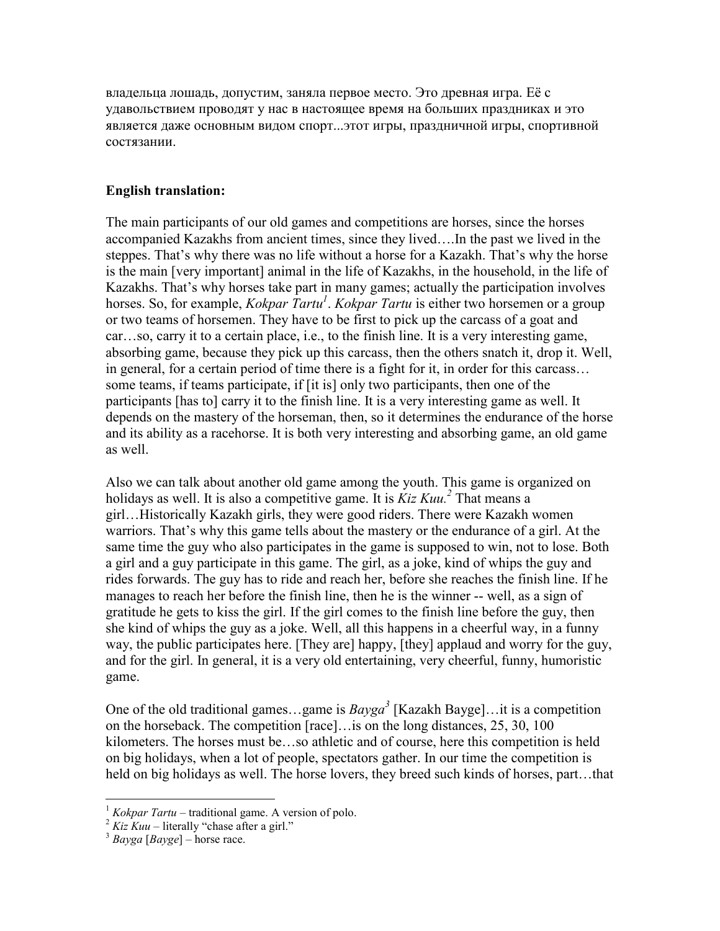владельца лошадь, допустим, заняла первое место. Это древная игра. Её с удавольствием проводят у нас в настоящее время на больших праздниках и это является даже основным видом спорт...этот игры, праздничной игры, спортивной состязании.

## English translation:

The main participants of our old games and competitions are horses, since the horses accompanied Kazakhs from ancient times, since they lived….In the past we lived in the steppes. That's why there was no life without a horse for a Kazakh. That's why the horse is the main [very important] animal in the life of Kazakhs, in the household, in the life of Kazakhs. That's why horses take part in many games; actually the participation involves horses. So, for example, *Kokpar Tartu<sup>1</sup>*. *Kokpar Tartu* is either two horsemen or a group or two teams of horsemen. They have to be first to pick up the carcass of a goat and car…so, carry it to a certain place, i.e., to the finish line. It is a very interesting game, absorbing game, because they pick up this carcass, then the others snatch it, drop it. Well, in general, for a certain period of time there is a fight for it, in order for this carcass… some teams, if teams participate, if [it is] only two participants, then one of the participants [has to] carry it to the finish line. It is a very interesting game as well. It depends on the mastery of the horseman, then, so it determines the endurance of the horse and its ability as a racehorse. It is both very interesting and absorbing game, an old game as well.

Also we can talk about another old game among the youth. This game is organized on holidays as well. It is also a competitive game. It is  $Kiz Kuu^2$  That means a girl…Historically Kazakh girls, they were good riders. There were Kazakh women warriors. That's why this game tells about the mastery or the endurance of a girl. At the same time the guy who also participates in the game is supposed to win, not to lose. Both a girl and a guy participate in this game. The girl, as a joke, kind of whips the guy and rides forwards. The guy has to ride and reach her, before she reaches the finish line. If he manages to reach her before the finish line, then he is the winner -- well, as a sign of gratitude he gets to kiss the girl. If the girl comes to the finish line before the guy, then she kind of whips the guy as a joke. Well, all this happens in a cheerful way, in a funny way, the public participates here. [They are] happy, [they] applaud and worry for the guy, and for the girl. In general, it is a very old entertaining, very cheerful, funny, humoristic game.

One of the old traditional games...game is  $Bayga^3$  [Kazakh Bayge]...it is a competition on the horseback. The competition [race]…is on the long distances, 25, 30, 100 kilometers. The horses must be…so athletic and of course, here this competition is held on big holidays, when a lot of people, spectators gather. In our time the competition is held on big holidays as well. The horse lovers, they breed such kinds of horses, part…that

 $\overline{a}$ 

 $1$  Kokpar Tartu – traditional game. A version of polo.

 $2 Kiz Kuu - literally "chase after a girl."$ 

 $3$  Bayga [Bayge] – horse race.